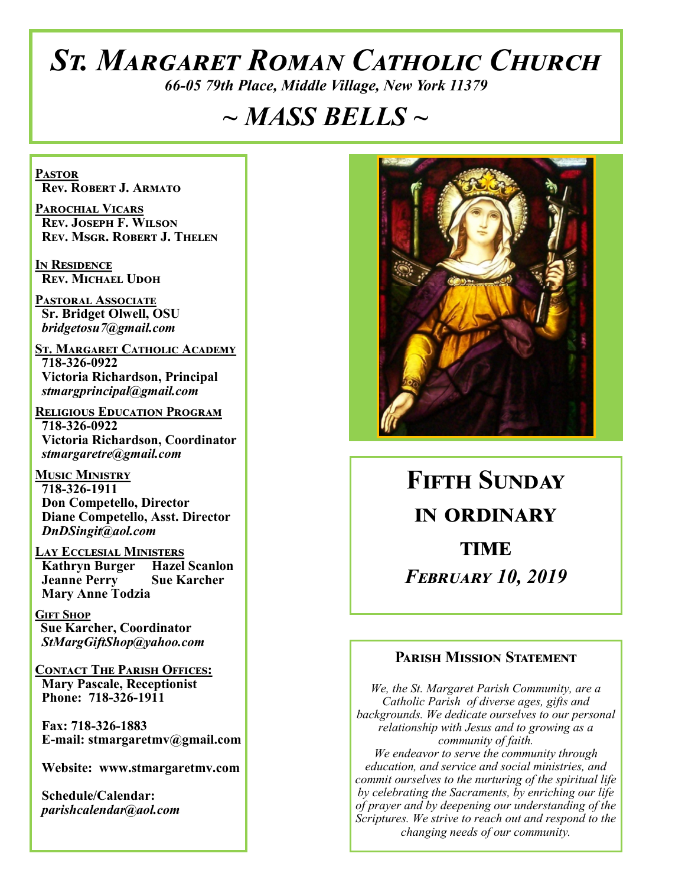# *St. Margaret Roman Catholic Church*

*66-05 79th Place, Middle Village, New York 11379*

## *~ MASS BELLS ~*

**Pastor Rev. Robert J. Armato**

**Parochial Vicars Rev. Joseph F. Wilson Rev. Msgr. Robert J. Thelen**

**In Residence Rev. Michael Udoh**

**Pastoral Associate Sr. Bridget Olwell, OSU**  *bridgetosu7@gmail.com*

**St. Margaret Catholic Academy 718-326-0922 Victoria Richardson, Principal**  *stmargprincipal@gmail.com*

**Religious Education Program 718-326-0922 Victoria Richardson, Coordinator** *stmargaretre@gmail.com*

**Music Ministry 718-326-1911 Don Competello, Director Diane Competello, Asst. Director** *DnDSingit@aol.com*

**Lay Ecclesial Ministers Kathryn Burger Hazel Scanlon**<br>**Jeanne Perry Sue Karcher Jeanne Perry Mary Anne Todzia**

**Gift Shop Sue Karcher, Coordinator** *StMargGiftShop@yahoo.com*

**Contact The Parish Offices: Mary Pascale, Receptionist Phone: 718-326-1911** 

 **Fax: 718-326-1883 E-mail: stmargaretmv@gmail.com**

 **Website: www.stmargaretmv.com**

 **Schedule/Calendar:** *parishcalendar@aol.com* 



**Fifth Sunday in ordinary TIME** *February 10, 2019* 

#### **Parish Mission Statement**

*We, the St. Margaret Parish Community, are a Catholic Parish of diverse ages, gifts and backgrounds. We dedicate ourselves to our personal relationship with Jesus and to growing as a community of faith. We endeavor to serve the community through education, and service and social ministries, and commit ourselves to the nurturing of the spiritual life by celebrating the Sacraments, by enriching our life of prayer and by deepening our understanding of the Scriptures. We strive to reach out and respond to the changing needs of our community.*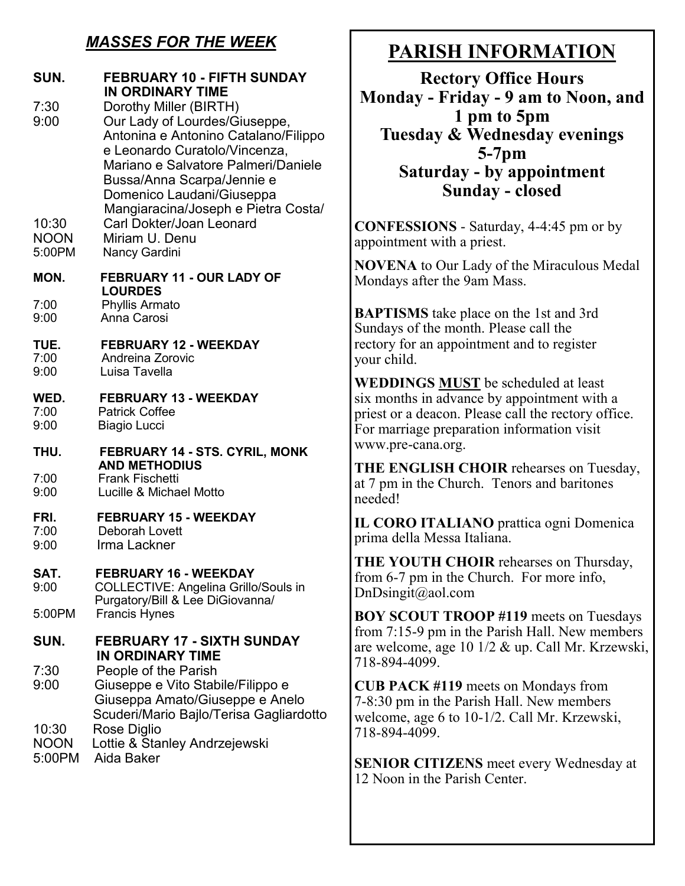#### *MASSES FOR THE WEEK*

| SUN.                                           | FEBRUARY 10 - FIFTH SUNDAY<br><b>IN ORDINARY TIME</b>                                                                                                                                                                                                                                                                                    |
|------------------------------------------------|------------------------------------------------------------------------------------------------------------------------------------------------------------------------------------------------------------------------------------------------------------------------------------------------------------------------------------------|
| 7:30<br>9:00<br>10:30<br><b>NOON</b><br>5:00PM | Dorothy Miller (BIRTH)<br>Our Lady of Lourdes/Giuseppe,<br>Antonina e Antonino Catalano/Filippo<br>e Leonardo Curatolo/Vincenza,<br>Mariano e Salvatore Palmeri/Daniele<br>Bussa/Anna Scarpa/Jennie e<br>Domenico Laudani/Giuseppa<br>Mangiaracina/Joseph e Pietra Costa/<br>Carl Dokter/Joan Leonard<br>Miriam U. Denu<br>Nancy Gardini |
| MON.                                           | FEBRUARY 11 - OUR LADY OF<br><b>LOURDES</b>                                                                                                                                                                                                                                                                                              |
| 7:00<br>9:00                                   | Phyllis Armato<br>Anna Carosi                                                                                                                                                                                                                                                                                                            |
| TUE.<br>7:00                                   | <b>FEBRUARY 12 - WEEKDAY</b><br>Andreina Zorovic                                                                                                                                                                                                                                                                                         |
| 9:00                                           | Luisa Tavella                                                                                                                                                                                                                                                                                                                            |
| WED.<br>7:00<br>9:00                           | <b>FEBRUARY 13 - WEEKDAY</b><br><b>Patrick Coffee</b><br><b>Biagio Lucci</b>                                                                                                                                                                                                                                                             |
| THU.                                           | FEBRUARY 14 - STS. CYRIL, MONK<br><b>AND METHODIUS</b>                                                                                                                                                                                                                                                                                   |
| 7:00<br>9:00                                   | <b>Frank Fischetti</b><br>Lucille & Michael Motto                                                                                                                                                                                                                                                                                        |
| FRI.<br>7:00                                   | <b>FEBRUARY 15 - WEEKDAY</b><br>Deborah Lovett                                                                                                                                                                                                                                                                                           |
| 9:00                                           | Irma Lackner                                                                                                                                                                                                                                                                                                                             |
| SAT.<br>9:00                                   | <b>FEBRUARY 16 - WEEKDAY</b><br>COLLECTIVE: Angelina Grillo/Souls in<br>Purgatory/Bill & Lee DiGiovanna/                                                                                                                                                                                                                                 |
| 5:00PM                                         | <b>Francis Hynes</b>                                                                                                                                                                                                                                                                                                                     |
| SUN.                                           | <b>FEBRUARY 17 - SIXTH SUNDAY</b><br><b>IN ORDINARY TIME</b>                                                                                                                                                                                                                                                                             |
| 7:30<br>9:00                                   | People of the Parish<br>Giuseppe e Vito Stabile/Filippo e<br>Giuseppa Amato/Giuseppe e Anelo<br>Scuderi/Mario Bajlo/Terisa Gagliardotto                                                                                                                                                                                                  |
| 10:30<br><b>NOON</b><br>5:00PM                 | Rose Diglio<br>Lottie & Stanley Andrzejewski<br>Aida Baker                                                                                                                                                                                                                                                                               |

## **PARISH INFORMATION**

**Rectory Office Hours Monday - Friday - 9 am to Noon, and 1 pm to 5pm Tuesday & Wednesday evenings 5-7pm Saturday - by appointment Sunday - closed**

**CONFESSIONS** - Saturday, 4-4:45 pm or by appointment with a priest.

**NOVENA** to Our Lady of the Miraculous Medal Mondays after the 9am Mass.

**BAPTISMS** take place on the 1st and 3rd Sundays of the month. Please call the rectory for an appointment and to register your child.

**WEDDINGS MUST** be scheduled at least six months in advance by appointment with a priest or a deacon. Please call the rectory office. For marriage preparation information visit www.pre-cana.org.

**THE ENGLISH CHOIR** rehearses on Tuesday, at 7 pm in the Church. Tenors and baritones needed!

**IL CORO ITALIANO** prattica ogni Domenica prima della Messa Italiana.

**THE YOUTH CHOIR** rehearses on Thursday, from 6-7 pm in the Church. For more info, DnDsingit@aol.com

**BOY SCOUT TROOP #119** meets on Tuesdays from 7:15-9 pm in the Parish Hall. New members are welcome, age 10 1/2 & up. Call Mr. Krzewski, 718-894-4099.

**CUB PACK #119** meets on Mondays from 7-8:30 pm in the Parish Hall. New members welcome, age 6 to 10-1/2. Call Mr. Krzewski, 718-894-4099.

**SENIOR CITIZENS** meet every Wednesday at 12 Noon in the Parish Center.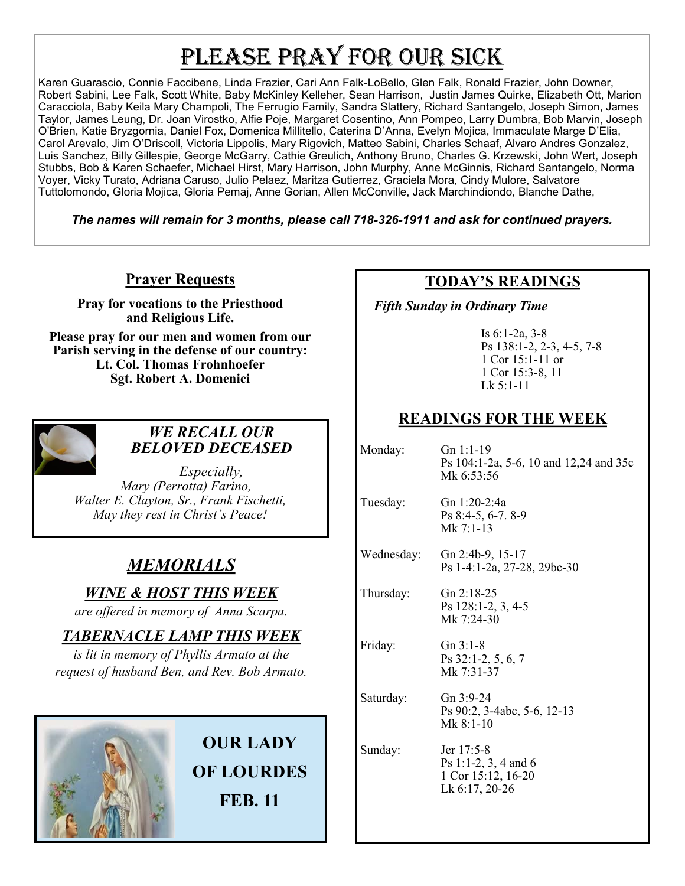# PLEASE PRAY FOR OUR SICK

Karen Guarascio, Connie Faccibene, Linda Frazier, Cari Ann Falk-LoBello, Glen Falk, Ronald Frazier, John Downer, Robert Sabini, Lee Falk, Scott White, Baby McKinley Kelleher, Sean Harrison, Justin James Quirke, Elizabeth Ott, Marion Caracciola, Baby Keila Mary Champoli, The Ferrugio Family, Sandra Slattery, Richard Santangelo, Joseph Simon, James Taylor, James Leung, Dr. Joan Virostko, Alfie Poje, Margaret Cosentino, Ann Pompeo, Larry Dumbra, Bob Marvin, Joseph O'Brien, Katie Bryzgornia, Daniel Fox, Domenica Millitello, Caterina D'Anna, Evelyn Mojica, Immaculate Marge D'Elia, Carol Arevalo, Jim O'Driscoll, Victoria Lippolis, Mary Rigovich, Matteo Sabini, Charles Schaaf, Alvaro Andres Gonzalez, Luis Sanchez, Billy Gillespie, George McGarry, Cathie Greulich, Anthony Bruno, Charles G. Krzewski, John Wert, Joseph Stubbs, Bob & Karen Schaefer, Michael Hirst, Mary Harrison, John Murphy, Anne McGinnis, Richard Santangelo, Norma Voyer, Vicky Turato, Adriana Caruso, Julio Pelaez, Maritza Gutierrez, Graciela Mora, Cindy Mulore, Salvatore Tuttolomondo, Gloria Mojica, Gloria Pemaj, Anne Gorian, Allen McConville, Jack Marchindiondo, Blanche Dathe,

*The names will remain for 3 months, please call 718-326-1911 and ask for continued prayers.*

#### **Prayer Requests**

**Pray for vocations to the Priesthood and Religious Life.** 

**Please pray for our men and women from our Parish serving in the defense of our country: Lt. Col. Thomas Frohnhoefer Sgt. Robert A. Domenici** 



#### *WE RECALL OUR BELOVED DECEASED*

*Especially, Mary (Perrotta) Farino, Walter E. Clayton, Sr., Frank Fischetti, May they rest in Christ's Peace!*

## *MEMORIALS*

*WINE & HOST THIS WEEK*

*are offered in memory of Anna Scarpa.*

### *TABERNACLE LAMP THIS WEEK*

*is lit in memory of Phyllis Armato at the request of husband Ben, and Rev. Bob Armato.* 



## **OUR LADY OF LOURDES FEB. 11**

#### **TODAY'S READINGS**

 *Fifth Sunday in Ordinary Time*

Is 6:1-2a, 3-8 Ps 138:1-2, 2-3, 4-5, 7-8 1 Cor 15:1-11 or 1 Cor 15:3-8, 11 Lk 5:1-11

#### **READINGS FOR THE WEEK**

| Monday:    | Gn $1:1-19$<br>Ps 104:1-2a, 5-6, 10 and 12,24 and 35c<br>Mk 6:53:56        |
|------------|----------------------------------------------------------------------------|
| Tuesday:   | Gn 1:20-2:4a<br>Ps 8:4-5, 6-7. 8-9<br>Mk 7:1-13                            |
| Wednesday: | Gn 2:4b-9, 15-17<br>Ps 1-4:1-2a, 27-28, 29bc-30                            |
| Thursday:  | Gn $2:18-25$<br>Ps 128:1-2, 3, 4-5<br>Mk 7:24-30                           |
| Friday:    | $Gn 3:1-8$<br>Ps 32:1-2, 5, 6, 7<br>Mk 7:31-37                             |
| Saturday:  | Gn $3:9-24$<br>Ps 90:2, 3-4abc, 5-6, 12-13<br>Mk $8:1-10$                  |
| Sunday:    | Jer 17:5-8<br>Ps 1:1-2, 3, 4 and 6<br>1 Cor 15:12, 16-20<br>Lk 6:17, 20-26 |
|            |                                                                            |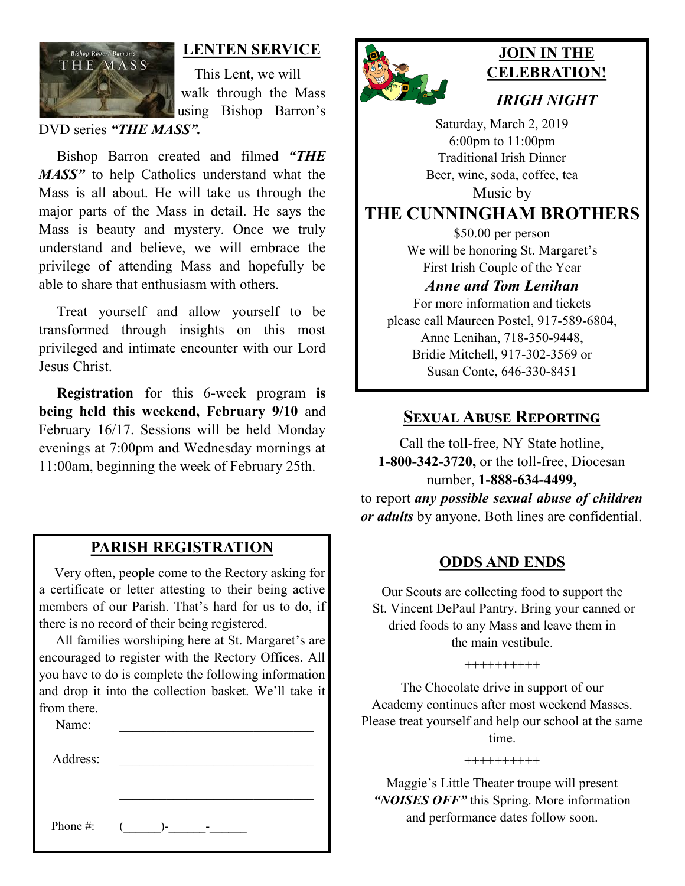

#### **LENTEN SERVICE**

 This Lent, we will walk through the Mass using Bishop Barron's

DVD series *"THE MASS".*

 Bishop Barron created and filmed *"THE MASS"* to help Catholics understand what the Mass is all about. He will take us through the major parts of the Mass in detail. He says the Mass is beauty and mystery. Once we truly understand and believe, we will embrace the privilege of attending Mass and hopefully be able to share that enthusiasm with others.

 Treat yourself and allow yourself to be transformed through insights on this most privileged and intimate encounter with our Lord Jesus Christ.

 **Registration** for this 6-week program **is being held this weekend, February 9/10** and February 16/17. Sessions will be held Monday evenings at 7:00pm and Wednesday mornings at 11:00am, beginning the week of February 25th.

#### **PARISH REGISTRATION**

 Very often, people come to the Rectory asking for a certificate or letter attesting to their being active members of our Parish. That's hard for us to do, if there is no record of their being registered.

 All families worshiping here at St. Margaret's are encouraged to register with the Rectory Offices. All you have to do is complete the following information and drop it into the collection basket. We'll take it from there.

| Name:    |        |
|----------|--------|
| Address: |        |
|          |        |
|          |        |
| Phone #: | $($ )- |



## **JOIN IN THE CELEBRATION!**

#### *IRIGH NIGHT*

Saturday, March 2, 2019 6:00pm to 11:00pm Traditional Irish Dinner Beer, wine, soda, coffee, tea Music by

#### **THE CUNNINGHAM BROTHERS**

\$50.00 per person We will be honoring St. Margaret's First Irish Couple of the Year *Anne and Tom Lenihan*

For more information and tickets please call Maureen Postel, 917-589-6804, Anne Lenihan, 718-350-9448, Bridie Mitchell, 917-302-3569 or Susan Conte, 646-330-8451

#### **Sexual Abuse Reporting**

Call the toll-free, NY State hotline, **1-800-342-3720,** or the toll-free, Diocesan number, **1-888-634-4499,** to report *any possible sexual abuse of children or adults* by anyone. Both lines are confidential.

#### **ODDS AND ENDS**

Our Scouts are collecting food to support the St. Vincent DePaul Pantry. Bring your canned or dried foods to any Mass and leave them in the main vestibule.

++++++++++

The Chocolate drive in support of our Academy continues after most weekend Masses. Please treat yourself and help our school at the same time.

++++++++++

Maggie's Little Theater troupe will present *"NOISES OFF"* this Spring. More information and performance dates follow soon.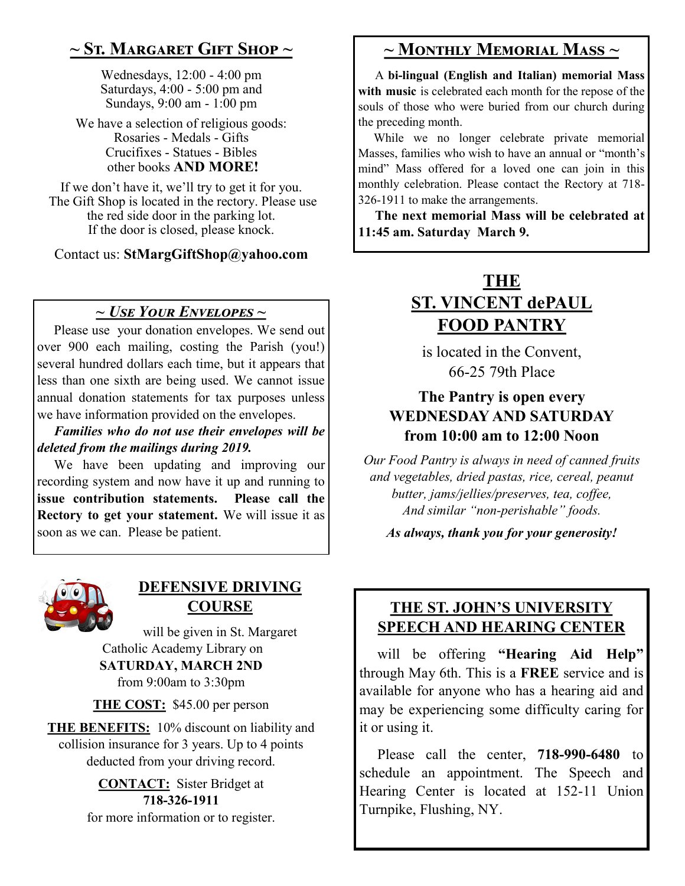## **~ St. Margaret Gift Shop ~**

Wednesdays, 12:00 - 4:00 pm Saturdays, 4:00 - 5:00 pm and Sundays, 9:00 am - 1:00 pm

We have a selection of religious goods: Rosaries - Medals - Gifts Crucifixes - Statues - Bibles other books **AND MORE!**

If we don't have it, we'll try to get it for you. The Gift Shop is located in the rectory. Please use the red side door in the parking lot. If the door is closed, please knock.

Contact us: **StMargGiftShop@yahoo.com**

#### *~ Use Your Envelopes ~*

 Please use your donation envelopes. We send out over 900 each mailing, costing the Parish (you!) several hundred dollars each time, but it appears that less than one sixth are being used. We cannot issue annual donation statements for tax purposes unless we have information provided on the envelopes.

 *Families who do not use their envelopes will be deleted from the mailings during 2019.*

 We have been updating and improving our recording system and now have it up and running to **issue contribution statements. Please call the Rectory to get your statement.** We will issue it as soon as we can. Please be patient.



#### **DEFENSIVE DRIVING COURSE**

will be given in St. Margaret Catholic Academy Library on **SATURDAY, MARCH 2ND** from 9:00am to 3:30pm

**THE COST:** \$45.00 per person

**THE BENEFITS:** 10% discount on liability and collision insurance for 3 years. Up to 4 points deducted from your driving record.

> **CONTACT:** Sister Bridget at **718-326-1911** for more information or to register.

## **~ Monthly Memorial Mass ~**

 A **bi-lingual (English and Italian) memorial Mass with music** is celebrated each month for the repose of the souls of those who were buried from our church during the preceding month.

 While we no longer celebrate private memorial Masses, families who wish to have an annual or "month's mind" Mass offered for a loved one can join in this monthly celebration. Please contact the Rectory at 718- 326-1911 to make the arrangements.

 **The next memorial Mass will be celebrated at 11:45 am. Saturday March 9.** 

## **THE ST. VINCENT dePAUL FOOD PANTRY**

is located in the Convent, 66-25 79th Place

#### **The Pantry is open every WEDNESDAY AND SATURDAY from 10:00 am to 12:00 Noon**

*Our Food Pantry is always in need of canned fruits and vegetables, dried pastas, rice, cereal, peanut butter, jams/jellies/preserves, tea, coffee, And similar "non-perishable" foods.*

*As always, thank you for your generosity!*

#### **THE ST. JOHN'S UNIVERSITY SPEECH AND HEARING CENTER**

 will be offering **"Hearing Aid Help"**  through May 6th. This is a **FREE** service and is available for anyone who has a hearing aid and may be experiencing some difficulty caring for it or using it.

 Please call the center, **718-990-6480** to schedule an appointment. The Speech and Hearing Center is located at 152-11 Union Turnpike, Flushing, NY.